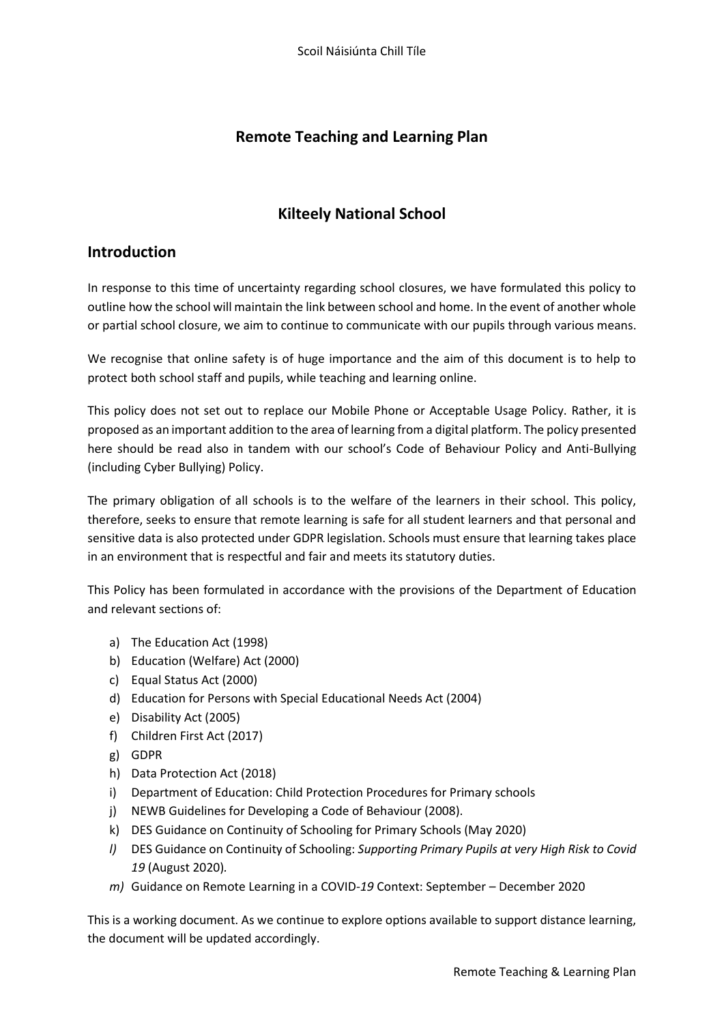## **Remote Teaching and Learning Plan**

## **Kilteely National School**

### **Introduction**

In response to this time of uncertainty regarding school closures, we have formulated this policy to outline how the school will maintain the link between school and home. In the event of another whole or partial school closure, we aim to continue to communicate with our pupils through various means.

We recognise that online safety is of huge importance and the aim of this document is to help to protect both school staff and pupils, while teaching and learning online.

This policy does not set out to replace our Mobile Phone or Acceptable Usage Policy. Rather, it is proposed as an important addition to the area of learning from a digital platform. The policy presented here should be read also in tandem with our school's Code of Behaviour Policy and Anti-Bullying (including Cyber Bullying) Policy.

The primary obligation of all schools is to the welfare of the learners in their school. This policy, therefore, seeks to ensure that remote learning is safe for all student learners and that personal and sensitive data is also protected under GDPR legislation. Schools must ensure that learning takes place in an environment that is respectful and fair and meets its statutory duties.

This Policy has been formulated in accordance with the provisions of the Department of Education and relevant sections of:

- a) The Education Act (1998)
- b) Education (Welfare) Act (2000)
- c) Equal Status Act (2000)
- d) Education for Persons with Special Educational Needs Act (2004)
- e) Disability Act (2005)
- f) Children First Act (2017)
- g) GDPR
- h) Data Protection Act (2018)
- i) Department of Education: Child Protection Procedures for Primary schools
- j) NEWB Guidelines for Developing a Code of Behaviour (2008).
- k) DES Guidance on Continuity of Schooling for Primary Schools (May 2020)
- *l)* DES Guidance on Continuity of Schooling: *Supporting Primary Pupils at very High Risk to Covid 19* (August 2020)*.*
- *m)* Guidance on Remote Learning in a COVID-*19* Context: September December 2020

This is a working document. As we continue to explore options available to support distance learning, the document will be updated accordingly.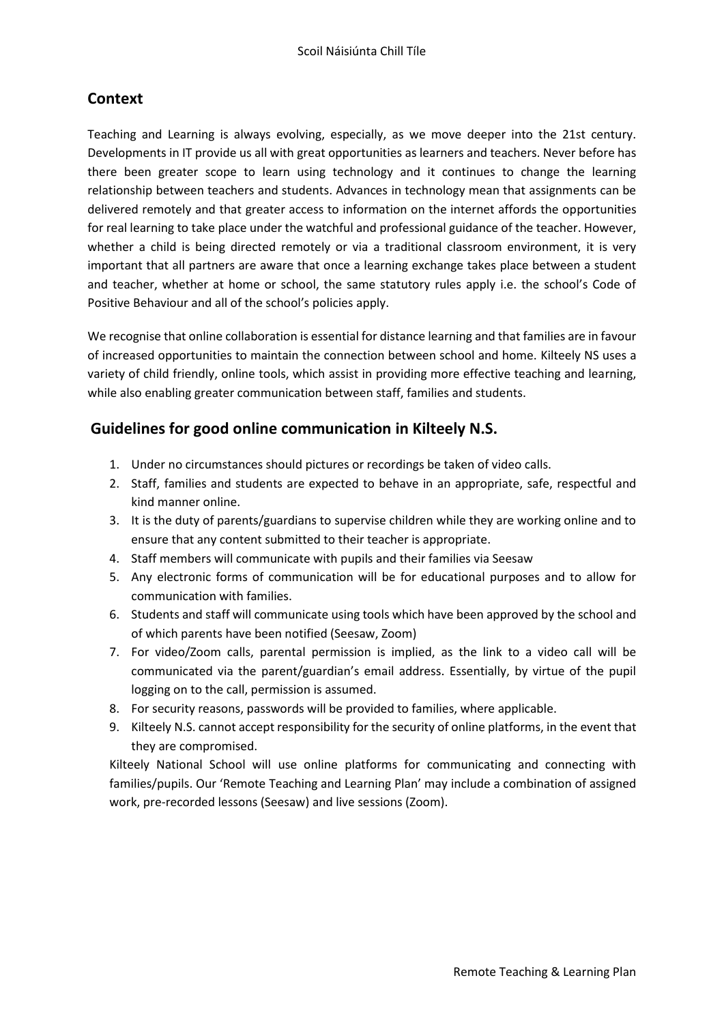# **Context**

Teaching and Learning is always evolving, especially, as we move deeper into the 21st century. Developments in IT provide us all with great opportunities as learners and teachers. Never before has there been greater scope to learn using technology and it continues to change the learning relationship between teachers and students. Advances in technology mean that assignments can be delivered remotely and that greater access to information on the internet affords the opportunities for real learning to take place under the watchful and professional guidance of the teacher. However, whether a child is being directed remotely or via a traditional classroom environment, it is very important that all partners are aware that once a learning exchange takes place between a student and teacher, whether at home or school, the same statutory rules apply i.e. the school's Code of Positive Behaviour and all of the school's policies apply.

We recognise that online collaboration is essential for distance learning and that families are in favour of increased opportunities to maintain the connection between school and home. Kilteely NS uses a variety of child friendly, online tools, which assist in providing more effective teaching and learning, while also enabling greater communication between staff, families and students.

## **Guidelines for good online communication in Kilteely N.S.**

- 1. Under no circumstances should pictures or recordings be taken of video calls.
- 2. Staff, families and students are expected to behave in an appropriate, safe, respectful and kind manner online.
- 3. It is the duty of parents/guardians to supervise children while they are working online and to ensure that any content submitted to their teacher is appropriate.
- 4. Staff members will communicate with pupils and their families via Seesaw
- 5. Any electronic forms of communication will be for educational purposes and to allow for communication with families.
- 6. Students and staff will communicate using tools which have been approved by the school and of which parents have been notified (Seesaw, Zoom)
- 7. For video/Zoom calls, parental permission is implied, as the link to a video call will be communicated via the parent/guardian's email address. Essentially, by virtue of the pupil logging on to the call, permission is assumed.
- 8. For security reasons, passwords will be provided to families, where applicable.
- 9. Kilteely N.S. cannot accept responsibility for the security of online platforms, in the event that they are compromised.

Kilteely National School will use online platforms for communicating and connecting with families/pupils. Our 'Remote Teaching and Learning Plan' may include a combination of assigned work, pre-recorded lessons (Seesaw) and live sessions (Zoom).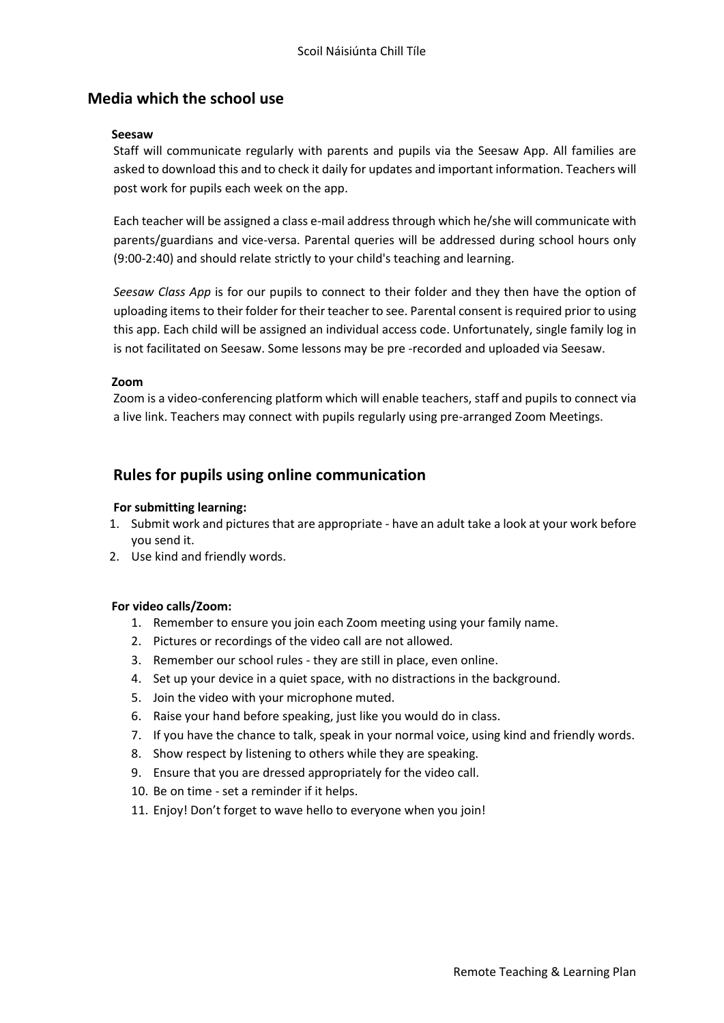### **Media which the school use**

#### **Seesaw**

Staff will communicate regularly with parents and pupils via the Seesaw App. All families are asked to download this and to check it daily for updates and important information. Teachers will post work for pupils each week on the app.

Each teacher will be assigned a class e-mail address through which he/she will communicate with parents/guardians and vice-versa. Parental queries will be addressed during school hours only (9:00-2:40) and should relate strictly to your child's teaching and learning.

*Seesaw Class App* is for our pupils to connect to their folder and they then have the option of uploading items to their folder for their teacher to see. Parental consent is required prior to using this app. Each child will be assigned an individual access code. Unfortunately, single family log in is not facilitated on Seesaw. Some lessons may be pre -recorded and uploaded via Seesaw.

#### **Zoom**

Zoom is a video-conferencing platform which will enable teachers, staff and pupils to connect via a live link. Teachers may connect with pupils regularly using pre-arranged Zoom Meetings.

### **Rules for pupils using online communication**

#### **For submitting learning:**

- 1. Submit work and pictures that are appropriate have an adult take a look at your work before you send it.
- 2. Use kind and friendly words.

#### **For video calls/Zoom:**

- 1. Remember to ensure you join each Zoom meeting using your family name.
- 2. Pictures or recordings of the video call are not allowed.
- 3. Remember our school rules they are still in place, even online.
- 4. Set up your device in a quiet space, with no distractions in the background.
- 5. Join the video with your microphone muted.
- 6. Raise your hand before speaking, just like you would do in class.
- 7. If you have the chance to talk, speak in your normal voice, using kind and friendly words.
- 8. Show respect by listening to others while they are speaking.
- 9. Ensure that you are dressed appropriately for the video call.
- 10. Be on time set a reminder if it helps.
- 11. Enjoy! Don't forget to wave hello to everyone when you join!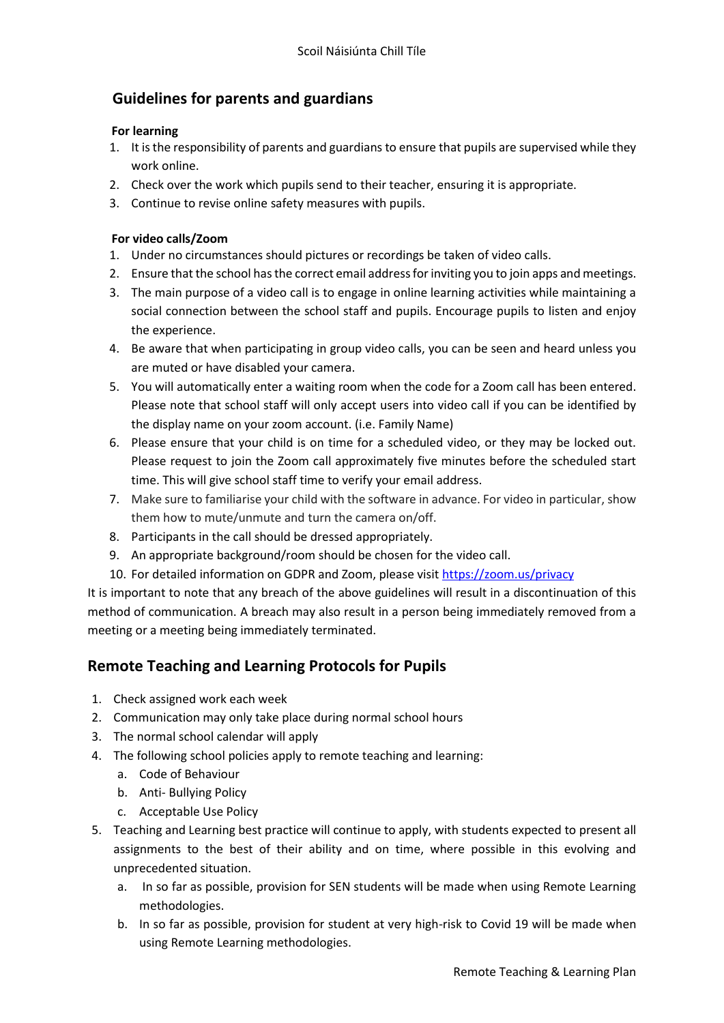# **Guidelines for parents and guardians**

#### **For learning**

- 1. It is the responsibility of parents and guardians to ensure that pupils are supervised while they work online.
- 2. Check over the work which pupils send to their teacher, ensuring it is appropriate.
- 3. Continue to revise online safety measures with pupils.

#### **For video calls/Zoom**

- 1. Under no circumstances should pictures or recordings be taken of video calls.
- 2. Ensure that the school has the correct email address for inviting you to join apps and meetings.
- 3. The main purpose of a video call is to engage in online learning activities while maintaining a social connection between the school staff and pupils. Encourage pupils to listen and enjoy the experience.
- 4. Be aware that when participating in group video calls, you can be seen and heard unless you are muted or have disabled your camera.
- 5. You will automatically enter a waiting room when the code for a Zoom call has been entered. Please note that school staff will only accept users into video call if you can be identified by the display name on your zoom account. (i.e. Family Name)
- 6. Please ensure that your child is on time for a scheduled video, or they may be locked out. Please request to join the Zoom call approximately five minutes before the scheduled start time. This will give school staff time to verify your email address.
- 7. Make sure to familiarise your child with the software in advance. For video in particular, show them how to mute/unmute and turn the camera on/off.
- 8. Participants in the call should be dressed appropriately.
- 9. An appropriate background/room should be chosen for the video call.
- 10. For detailed information on GDPR and Zoom, please visi[t https://zoom.us/privacy](https://zoom.us/privacy)

It is important to note that any breach of the above guidelines will result in a discontinuation of this method of communication. A breach may also result in a person being immediately removed from a meeting or a meeting being immediately terminated.

# **Remote Teaching and Learning Protocols for Pupils**

- 1. Check assigned work each week
- 2. Communication may only take place during normal school hours
- 3. The normal school calendar will apply
- 4. The following school policies apply to remote teaching and learning:
	- a. Code of Behaviour
	- b. Anti- Bullying Policy
	- c. Acceptable Use Policy
- 5. Teaching and Learning best practice will continue to apply, with students expected to present all assignments to the best of their ability and on time, where possible in this evolving and unprecedented situation.
	- a. In so far as possible, provision for SEN students will be made when using Remote Learning methodologies.
	- b. In so far as possible, provision for student at very high-risk to Covid 19 will be made when using Remote Learning methodologies.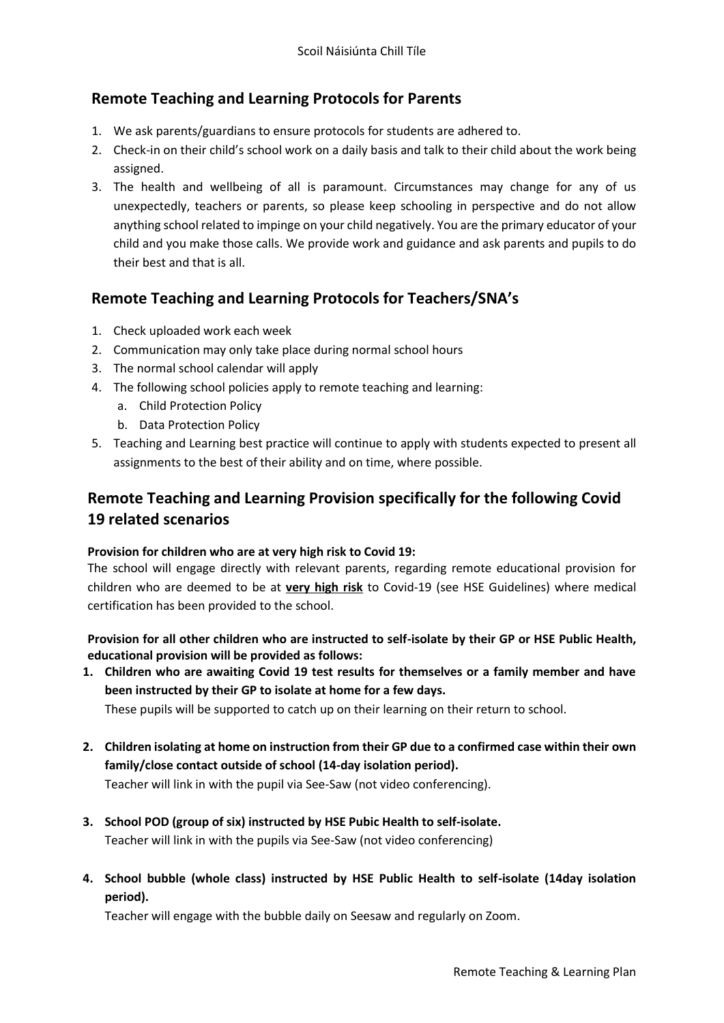## **Remote Teaching and Learning Protocols for Parents**

- 1. We ask parents/guardians to ensure protocols for students are adhered to.
- 2. Check-in on their child's school work on a daily basis and talk to their child about the work being assigned.
- 3. The health and wellbeing of all is paramount. Circumstances may change for any of us unexpectedly, teachers or parents, so please keep schooling in perspective and do not allow anything school related to impinge on your child negatively. You are the primary educator of your child and you make those calls. We provide work and guidance and ask parents and pupils to do their best and that is all.

## **Remote Teaching and Learning Protocols for Teachers/SNA's**

- 1. Check uploaded work each week
- 2. Communication may only take place during normal school hours
- 3. The normal school calendar will apply
- 4. The following school policies apply to remote teaching and learning:
	- a. Child Protection Policy
	- b. Data Protection Policy
- 5. Teaching and Learning best practice will continue to apply with students expected to present all assignments to the best of their ability and on time, where possible.

# **Remote Teaching and Learning Provision specifically for the following Covid 19 related scenarios**

#### **Provision for children who are at very high risk to Covid 19:**

The school will engage directly with relevant parents, regarding remote educational provision for children who are deemed to be at **very high risk** to Covid-19 (see HSE Guidelines) where medical certification has been provided to the school.

**Provision for all other children who are instructed to self-isolate by their GP or HSE Public Health, educational provision will be provided as follows:** 

**1. Children who are awaiting Covid 19 test results for themselves or a family member and have been instructed by their GP to isolate at home for a few days.** 

These pupils will be supported to catch up on their learning on their return to school.

- **2. Children isolating at home on instruction from their GP due to a confirmed case within their own family/close contact outside of school (14-day isolation period).**  Teacher will link in with the pupil via See-Saw (not video conferencing).
- **3. School POD (group of six) instructed by HSE Pubic Health to self-isolate.**  Teacher will link in with the pupils via See-Saw (not video conferencing)
- **4. School bubble (whole class) instructed by HSE Public Health to self-isolate (14day isolation period).**

Teacher will engage with the bubble daily on Seesaw and regularly on Zoom.